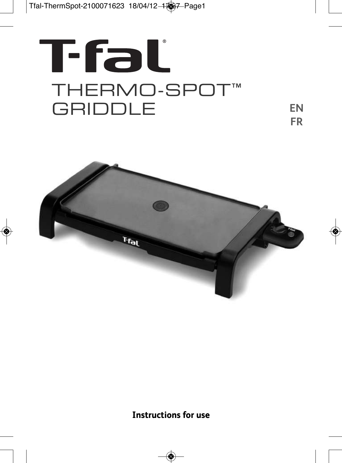# T-fal **THERMO-SPOT™ GRIDDLE**

**EN FR**



**Instructions for use**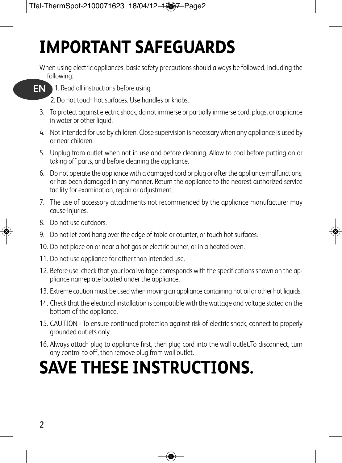# **IMPORTANT SAFEGUARDS**

When using electric appliances, basic safety precautions should always be followed, including the following:



1. Read all instructions before using. **EN**

2. Do not touch hot surfaces. Use handles or knobs.

- 3. To protect against electric shock, do not immerse or partially immerse cord, plugs, or appliance in water or other liquid.
- 4. Not intended for use by children. Close supervision is necessary when any appliance is used by or near children.
- 5. Unplug from outlet when not in use and before cleaning. Allow to cool before putting on or taking off parts, and before cleaning the appliance.
- 6. Do not operate the appliance with a damaged cord or plug or after the appliance malfunctions, or has been damaged in any manner. Return the appliance to the nearest authorized service facility for examination, repair or adjustment.
- 7. The use of accessory attachments not recommended by the appliance manufacturer may cause injuries.
- 8. Do not use outdoors.
- 9. Do not let cord hang over the edge of table or counter, or touch hot surfaces.
- 10. Do not place on or near a hot gas or electric burner, or in a heated oven.
- 11. Do not use appliance for other than intended use.
- 12. Before use, check that your local voltage corresponds with the specifications shown on the appliance nameplate located under the appliance.
- 13. Extreme caution must be used when moving an appliance containing hot oil or other hot liquids.
- 14. Check that the electrical installation is compatible with the wattage and voltage stated on the bottom of the appliance.
- 15. CAUTION To ensure continued protection against risk of electric shock, connect to properly grounded outlets only.
- 16. Always attach plug to appliance first, then plug cord into the wall outlet.To disconnect, turn any control to off, then remove plug from wall outlet.

# **SAVE THESE INSTRUCTIONS.**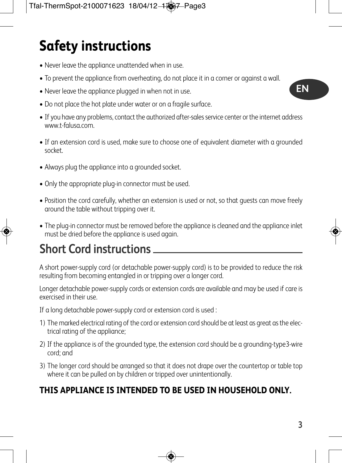## **Safety instructions**

- Never leave the appliance unattended when in use.
- To prevent the appliance from overheating, do not place it in a corner or against a wall.
- Never leave the appliance plugged in when not in use.
- Do not place the hot plate under water or on a fragile surface.
- If you have any problems, contact the authorized after-sales service center or the internet address www.t-falusa.com.
- If an extension cord is used, make sure to choose one of equivalent diameter with a grounded socket.
- Always plug the appliance into a grounded socket.
- Only the appropriate plug-in connector must be used.
- Position the cord carefully, whether an extension is used or not, so that guests can move freely around the table without tripping over it.
- The plug-in connector must be removed before the appliance is cleaned and the appliance inlet must be dried before the appliance is used again.

### **Short Cord instructions**

A short power-supply cord (or detachable power-supply cord) is to be provided to reduce the risk resulting from becoming entangled in or tripping over a longer cord.

Longer detachable power-supply cords or extension cords are available and may be used if care is exercised in their use.

If a long detachable power-supply cord or extension cord is used :

- 1) The marked electrical rating of the cord or extension cord should be at least as great as the electrical rating of the appliance;
- 2) If the appliance is of the grounded type, the extension cord should be a grounding-type3-wire cord; and
- 3) The longer cord should be arranged so that it does not drape over the countertop or table top where it can be pulled on by children or tripped over unintentionally.

### **THIS APPLIANCE IS INTENDED TO BE USED IN HOUSEHOLD ONLY.**

**EN**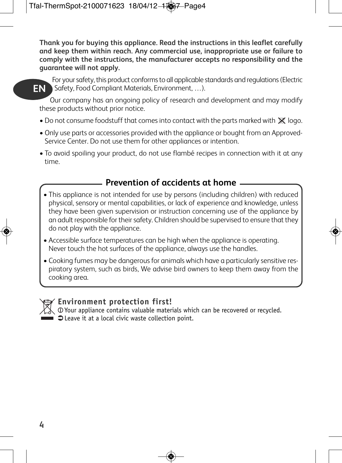**Thank you for buying this appliance. Read the instructions in this leaflet carefully and keep them within reach. Any commercial use, inappropriate use or failure to comply with the instructions, the manufacturer accepts no responsibility and the guarantee will not apply.**



For your safety, this product conforms to all applicable standards and regulations (Electric Safety, Food Compliant Materials, Environment, …). **EN**

Our company has an ongoing policy of research and development and may modify these products without prior notice.

- Do not consume foodstuff that comes into contact with the parts marked with  $\mathbb X$  logo.
- Only use parts or accessories provided with the appliance or bought from an Approved-Service Center. Do not use them for other appliances or intention.
- To avoid spoiling your product, do not use flambé recipes in connection with it at any time.

#### **Prevention of accidents at home**

- This appliance is not intended for use by persons (including children) with reduced physical, sensory or mental capabilities, or lack of experience and knowledge, unless they have been given supervision or instruction concerning use of the appliance by an adult responsible for their safety. Children should be supervised to ensure that they do not play with the appliance.
- Accessible surface temperatures can be high when the appliance is operating. Never touch the hot surfaces of the appliance, always use the handles.
- Cooking fumes may be dangerous for animals which have a particularly sensitive respiratory system, such as birds, We advise bird owners to keep them away from the cooking area.



#### **Environment protection first!**

Your appliance contains valuable materials which can be recovered or recycled.  $\Box$  $\Box$  $\Box$   $\Box$  Leave it at a local civic waste collection point.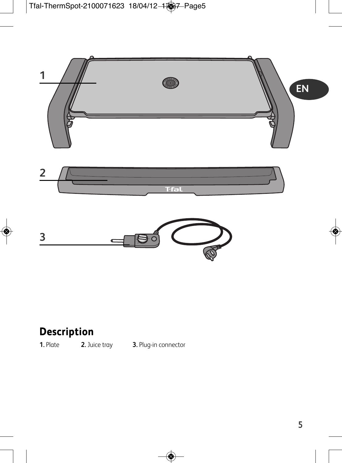



### **Description**

**1.** Plate **2.** Juice tray **3.** Plug-in connector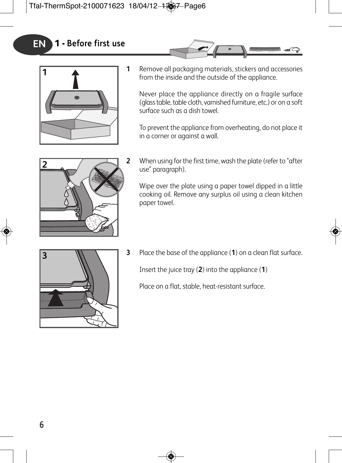

- 
- **1** Remove all packaging materials, stickers and accessories from the inside and the outside of the appliance.

Never place the appliance directly on a fragile surface (glass table, table cloth, varnished furniture, etc.) or on a soft surface such as a dish towel.

To prevent the appliance from overheating, do not place it in a corner or against a wall.



**2** When using for the first time, wash the plate (refer to "after use" paragraph).

Wipe over the plate using a paper towel dipped in a little cooking oil. Remove any surplus oil using a clean kitchen paper towel.



**3** Place the base of the appliance (**1**) on a clean flat surface.

Insert the juice tray (**2**) into the appliance (**1**)

Place on a flat, stable, heat-resistant surface.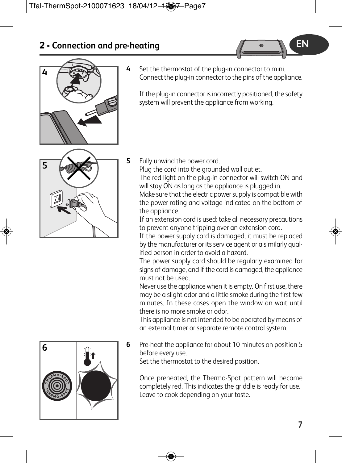

**4** Set the thermostat of the plug-in connector to mini. Connect the plug-in connector to the pins of the appliance.

If the plug-in connector is incorrectly positioned, the safety system will prevent the appliance from working.



**5** Fully unwind the power cord.

Plug the cord into the grounded wall outlet.

The red light on the plug-in connector will switch ON and will stay ON as long as the appliance is plugged in.

Make sure that the electric power supply is compatible with the power rating and voltage indicated on the bottom of the appliance.

If an extension cord is used: take all necessary precautions to prevent anyone tripping over an extension cord.

If the power supply cord is damaged, it must be replaced by the manufacturer or its service agent or a similarly qualified person in order to avoid a hazard.

The power supply cord should be regularly examined for signs of damage, and if the cord is damaged, the appliance must not be used.

Never use the appliance when it is empty. On first use, there may be a slight odor and a little smoke during the first few minutes. In these cases open the window an wait until there is no more smoke or odor.

This appliance is not intended to be operated by means of an external timer or separate remote control system.

**6** Pre-heat the appliance for about 10 minutes on position 5 before every use.

Set the thermostat to the desired position.

Once preheated, the Thermo-Spot pattern will become completely red. This indicates the griddle is ready for use. Leave to cook depending on your taste.



**EN**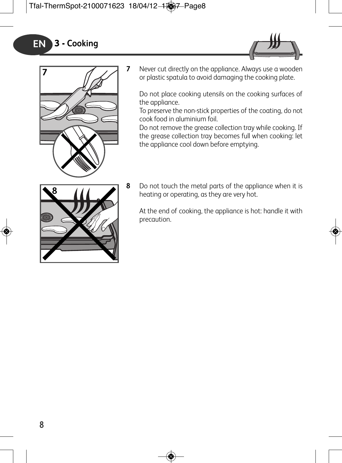



**7** Never cut directly on the appliance. Always use a wooden or plastic spatula to avoid damaging the cooking plate.

Do not place cooking utensils on the cooking surfaces of the appliance.

To preserve the non-stick properties of the coating, do not cook food in aluminium foil.

Do not remove the grease collection tray while cooking. If the grease collection tray becomes full when cooking: let the appliance cool down before emptying.



**8** Do not touch the metal parts of the appliance when it is heating or operating, as they are very hot.

At the end of cooking, the appliance is hot: handle it with precaution.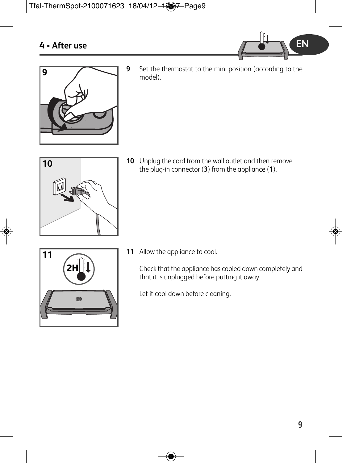



**9** Set the thermostat to the mini position (according to the model).



**10** Unplug the cord from the wall outlet and then remove the plug-in connector (**3**) from the appliance (**1**).



**11** Allow the appliance to cool.

Check that the appliance has cooled down completely and that it is unplugged before putting it away.

Let it cool down before cleaning.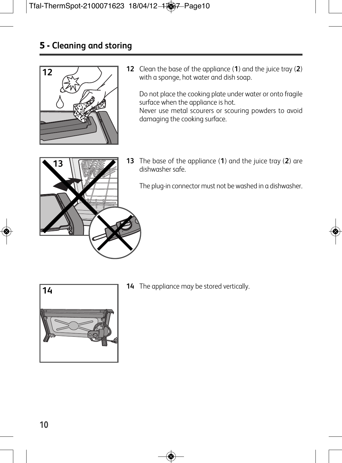### **5 - Cleaning and storing**



**12** Clean the base of the appliance (**1**) and the juice tray (**2**) with a sponge, hot water and dish soap.

Do not place the cooking plate under water or onto fragile surface when the appliance is hot. Never use metal scourers or scouring powders to avoid damaging the cooking surface.



**13** The base of the appliance (**1**) and the juice tray (**2**) are dishwasher safe.

The plug-in connector must not be washed in a dishwasher.



**14** The appliance may be stored vertically.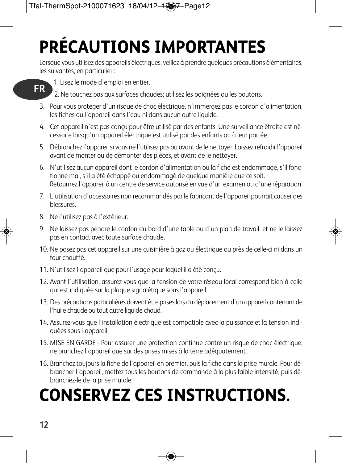# **PRÉCAUTIONS IMPORTANTES**

Lorsque vous utilisez des appareils électriques, veillez à prendre quelques précautions élémentaires, les suivantes, en particulier :



1. Lisez le mode d'emploi en entier.

2. Ne touchez pas aux surfaces chaudes; utilisez les poignées ou les boutons.

- 3. Pour vous protéger d'un risque de choc électrique, n'immergez pas le cordon d'alimentation, les fiches ou l'appareil dans l'eau ni dans aucun autre liquide.
- 4. Cet appareil n'est pas conçu pour être utilisé par des enfants. Une surveillance étroite est nécessaire lorsqu'un appareil électrique est utilisé par des enfants ou à leur portée.
- 5. Débranchezl'appareilsi vous ne l'utilisez pas ou avant de le nettoyer. Laissezrefroidir l'appareil avant de monter ou de démonter des pièces, et avant de le nettoyer.
- 6. N'utilisez aucun appareil dont le cordon d'alimentation ou la fiche est endommagé, s'il fonctionne mal, s'il a été échappé ou endommagé de quelque manière que ce soit. Retournez l'appareil à un centre de service autorisé en vue d'un examen ou d'une réparation.
- 7. L'utilisation d'accessoires non recommandés par le fabricant de l'appareil pourrait causer des blessures.
- 8. Ne l'utilisez pas à l'extérieur.
- 9. Ne laissez pas pendre le cordon du bord d'une table ou d'un plan de travail, et ne le laissez pas en contact avec toute surface chaude.
- 10. Ne posez pas cet appareil sur une cuisinière à gaz ou électrique ou près de celle-ci ni dans un four chauffé.
- 11. N'utilisez l'appareil que pour l'usage pour lequel il a été conçu.
- 12. Avant l'utilisation, assurez-vous que la tension de votre réseau local correspond bien à celle qui est indiquée sur la plaque signalétique sous l'appareil.
- 13. Des précautions particulières doivent être priseslors du déplacement d'un appareil contenant de l'huile chaude ou tout autre liquide chaud.
- 14. Assurez-vous que l'installation électrique est compatible avec la puissance et la tension indiquées sous l'appareil.
- 15. MISE EN GARDE Pour assurer une protection continue contre un risque de choc électrique, ne branchez l'appareil que sur des prises mises à la terre adéquatement.
- 16. Branchez toujours la fiche de l'appareil en premier, puis la fiche dans la prise murale. Pour débrancher l'appareil, mettez tous les boutons de commande à la plus faible intensité, puis débranchez-le de la prise murale.

# **CONSERVEZ CES INSTRUCTIONS.**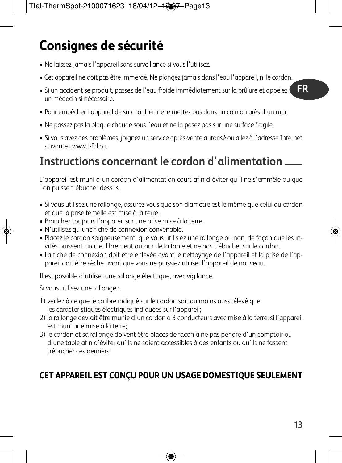### **Consignes de sécurité**

- Ne laissez jamais l'appareil sans surveillance si vous l'utilisez.
- Cet appareil ne doit pas être immergé. Ne plongez jamais dans l'eau l'appareil, ni le cordon.
- Si un accident se produit, passez de l'eau froide immédiatement sur la brûlure et appelez un médecin si nécessaire.
- Pour empêcher l'appareil de surchauffer, ne le mettez pas dans un coin ou près d'un mur.
- Ne passez pas la plaque chaude sous l'eau et ne la posez pas sur une surface fragile.
- Si vous avez des problèmes, joignez un service après-vente autorisé ou allez à l'adresse Internet suivante : www.t-fal.ca.

### **Instructions concernant le cordon d'alimentation**

L'appareil est muni d'un cordon d'alimentation court afin d'éviter qu'il ne s'emmêle ou que l'on puisse trébucher dessus.

- Si vous utilisez une rallonge, assurez-vous que son diamètre est le même que celui du cordon et que la prise femelle est mise à la terre.
- Branchez toujours l'appareil sur une prise mise à la terre.
- N'utilisez qu'une fiche de connexion convenable.
- Placez le cordon soigneusement, que vous utilisiez une rallonge ou non, de façon que les invités puissent circuler librement autour de la table et ne pas trébucher sur le cordon.
- La fiche de connexion doit être enlevée avant le nettoyage de l'appareil et la prise de l'appareil doit être sèche avant que vous ne puissiez utiliser l'appareil de nouveau.

Il est possible d'utiliser une rallonge électrique, avec vigilance.

Si vous utilisez une rallonge :

- 1) veillez à ce que le calibre indiqué sur le cordon soit au moins aussi élevé que les caractéristiques électriques indiquées sur l'appareil;
- 2) la rallonge devrait être munie d'un cordon à 3 conducteurs avec mise à la terre, si l'appareil est muni une mise à la terre;
- 3) le cordon et sa rallonge doivent être placés de façon à ne pas pendre d'un comptoir ou d'une table afin d'éviter qu'ils ne soient accessibles à des enfants ou qu'ils ne fassent trébucher ces derniers.

### **CET APPAREIL EST CONÇU POUR UN USAGE DOMESTIQUE SEULEMENT**

**FR**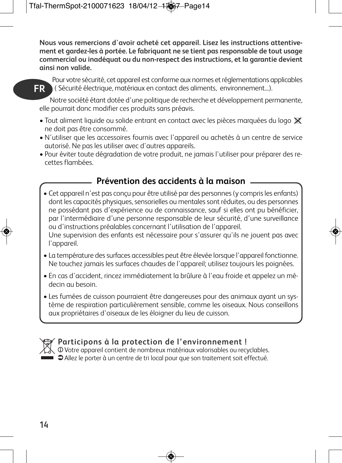**Nous vous remercions d'avoir acheté cet appareil. Lisez les instructions attentivement et gardez-les à portée. Le fabriquant ne se tient pas responsable de tout usage commercial ou inadéquat ou du non-respect des instructions, et la garantie devient ainsi non valide.**



Pour votre sécurité, cet appareil est conforme aux normes et réglementations applicables ( Sécurité électrique, matériaux en contact des aliments, environnement...). **FR**

Notre société étant dotée d'une politique de recherche et développement permanente, elle pourrait donc modifier ces produits sans préavis.

- Tout aliment liquide ou solide entrant en contact avec les pièces marquées du logo  $\mathbb X$ ne doit pas être consommé.
- N'utiliser que les accessoires fournis avec l'appareil ou achetés à un centre de service autorisé. Ne pas les utiliser avec d'autres appareils.
- Pour éviter toute dégradation de votre produit, ne jamais l'utiliser pour préparer des recettes flambées.

#### **Prévention des accidents à la maison**

- Cet appareil n'est pas conçu pour être utilisé par des personnes(y comprisles enfants) dont les capacités physiques, sensorielles ou mentales sont réduites, ou des personnes ne possédant pas d'expérience ou de connaissance, sauf si elles ont pu bénéficier, par l'intermédiaire d'une personne responsable de leur sécurité, d'une surveillance ou d'instructions préalables concernant l'utilisation de l'appareil. Une supervision des enfants est nécessaire pour s'assurer qu'ils ne jouent pas avec l'appareil.
- La température dessurfaces accessibles peut être élevée lorsque l'appareil fonctionne. Ne touchez jamais les surfaces chaudes de l'appareil; utilisez toujours les poignées.
- En cas d'accident, rincez immédiatement la brûlure à l'eau froide et appelez un médecin au besoin.
- Les fumées de cuisson pourraient être dangereuses pour des animaux ayant un système de respiration particulièrement sensible, comme les oiseaux. Nous conseillons aux propriétaires d'oiseaux de les éloigner du lieu de cuisson.



#### **Participons à la protection de l'environnement !**

 $\sqrt{v}$  Votre appareil contient de nombreux matériaux valorisables ou recyclables.  $\Box$   $\Box$   $\Box$  Allez le porter à un centre de tri local pour que son traitement soit effectué.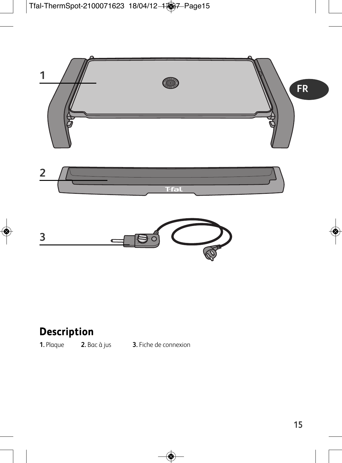

# **3**

### **Description**

**1.** Plaque **2.** Bac à jus **3.** Fiche de connexion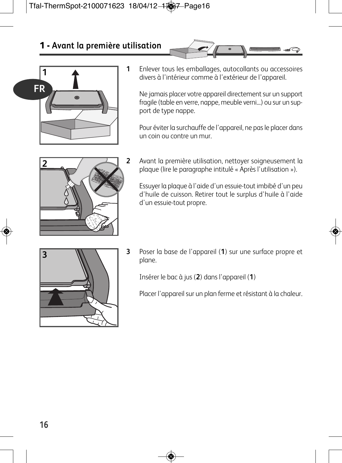### **1 - Avant la première utilisation**



**1** Enlever tous les emballages, autocollants ou accessoires divers à l'intérieur comme à l'extérieur de l'appareil.

Ne jamais placer votre appareil directement sur un support fragile (table en verre, nappe, meuble verni...) ou sur un support de type nappe.

Pour éviter la surchauffe de l'appareil, ne pas le placer dans un coin ou contre un mur.



**2** Avant la première utilisation, nettoyer soigneusement la plaque (lire le paragraphe intitulé « Après l'utilisation »).

Essuyer la plaque à l'aide d'un essuie-tout imbibé d'un peu d'huile de cuisson. Retirer tout le surplus d'huile à l'aide d'un essuie-tout propre.



**3** Poser la base de l'appareil (**1**) sur une surface propre et plane.

Insérer le bac à jus (**2**) dans l'appareil (**1**)

Placer l'appareil sur un plan ferme et résistant à la chaleur.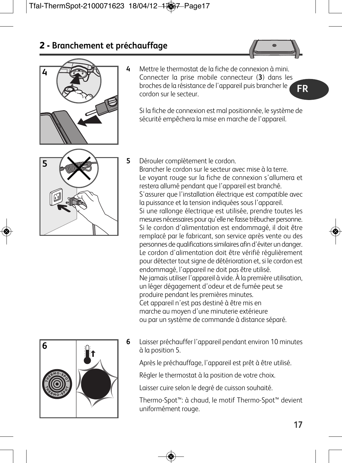



**4** Mettre le thermostat de la fiche de connexion à mini. Connecter la prise mobile connecteur (**3**) dans les broches de la résistance de l'appareil puis brancher le cordon sur le secteur. **FR**

Si la fiche de connexion est mal positionnée, le système de sécurité empêchera la mise en marche de l'appareil.



**5** Dérouler complètement le cordon. Brancher le cordon sur le secteur avec mise à la terre. Le voyant rouge sur la fiche de connexion s'allumera et restera allumé pendant que l'appareil est branché. S'assurer que l'installation électrique est compatible avec la puissance et la tension indiquées sous l'appareil. Si une rallonge électrique est utilisée, prendre toutes les mesures nécessaires pour qu'elle ne fasse trébucher personne. Si le cordon d'alimentation est endommagé, il doit être remplacé par le fabricant, son service après vente ou des personnes de qualificationssimilaires afin d'éviter un danger. Le cordon d'alimentation doit être vérifié régulièrement pour détecter tout signe de détérioration et, si le cordon est endommagé, l'appareil ne doit pas être utilisé. Ne jamais utiliser l'appareil à vide. À la première utilisation, un léger dégagement d'odeur et de fumée peut se produire pendant les premières minutes. Cet appareil n'est pas destiné à être mis en marche au moyen d'une minuterie extérieure ou par un système de commande à distance séparé.

**6** Laisser préchauffer l'appareil pendant environ 10 minutes à la position 5.

Après le préchauffage, l'appareil est prêt à être utilisé.

Régler le thermostat à la position de votre choix.

Laisser cuire selon le degré de cuisson souhaité.

Thermo-Spot™: à chaud, le motif Thermo-Spot™ devient uniformément rouge.

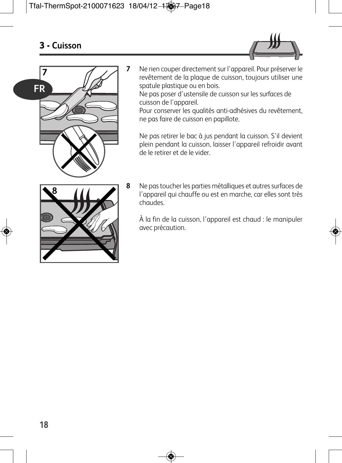



**7** Ne rien couper directement sur l'appareil. Pour préserver le revêtement de la plaque de cuisson, toujours utiliser une spatule plastique ou en bois.

Ne pas poser d'ustensile de cuisson sur les surfaces de cuisson de l'appareil.

Pour conserver les qualités anti-adhésives du revêtement, ne pas faire de cuisson en papillote.

Ne pas retirer le bac à jus pendant la cuisson. S'il devient plein pendant la cuisson, laisser l'appareil refroidir avant de le retirer et de le vider.



**8** Ne pas toucher les parties métalliques et autres surfaces de l'appareil qui chauffe ou est en marche, car elles sont très chaudes.

À la fin de la cuisson, l'appareil est chaud : le manipuler avec précaution.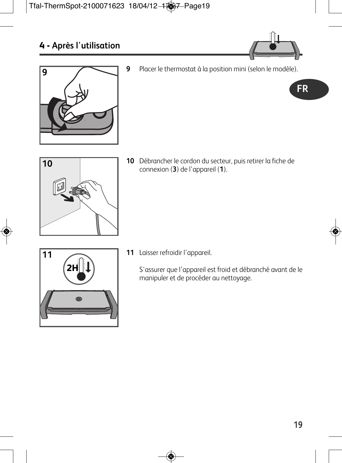



- Placer le thermostat à la position mini (selon le modèle).
	- **FR**



 Débrancher le cordon du secteur, puis retirer la fiche de connexion (**3**) de l'appareil (**1**).

- **2H**
- Laisser refroidir l'appareil.

S'assurer que l'appareil est froid et débranché avant de le manipuler et de procéder au nettoyage.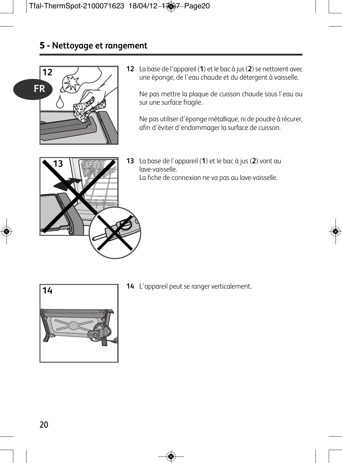#### **5 - Nettoyage et rangement**



**12** La base de l'appareil (1) et le bac à jus (2) se nettoient avec une éponge, de l'eau chaude et du détergent à vaisselle.

Ne pas mettre la plaque de cuisson chaude sous l'eau ou sur une surface fragile.

Ne pas utiliser d'éponge métallique, ni de poudre à récurer, afin d'éviter d'endommager la surface de cuisson.



**13** La base de l'appareil (**1**) et le bac à jus (**2**) vont au lave-vaisselle. La fiche de connexion ne va pas au lave-vaisselle.



**14** L'appareil peut se ranger verticalement.